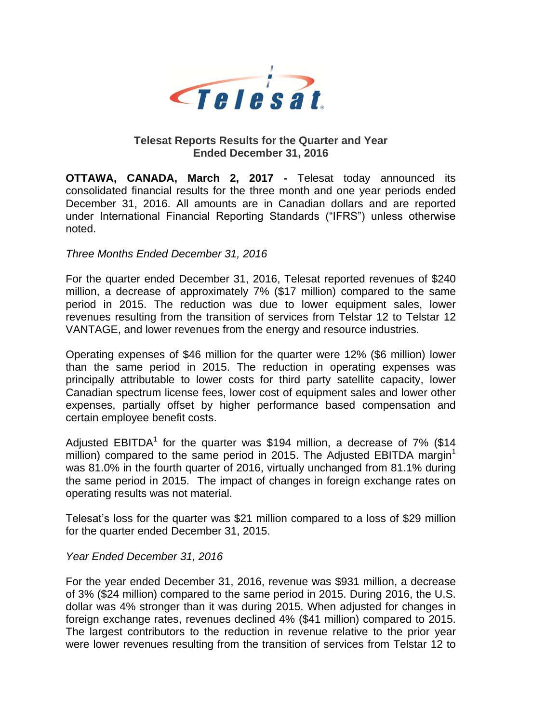

#### **Telesat Reports Results for the Quarter and Year Ended December 31, 2016**

**OTTAWA, CANADA, March 2, 2017 -** Telesat today announced its consolidated financial results for the three month and one year periods ended December 31, 2016. All amounts are in Canadian dollars and are reported under International Financial Reporting Standards ("IFRS") unless otherwise noted.

#### *Three Months Ended December 31, 2016*

For the quarter ended December 31, 2016, Telesat reported revenues of \$240 million, a decrease of approximately 7% (\$17 million) compared to the same period in 2015. The reduction was due to lower equipment sales, lower revenues resulting from the transition of services from Telstar 12 to Telstar 12 VANTAGE, and lower revenues from the energy and resource industries.

Operating expenses of \$46 million for the quarter were 12% (\$6 million) lower than the same period in 2015. The reduction in operating expenses was principally attributable to lower costs for third party satellite capacity, lower Canadian spectrum license fees, lower cost of equipment sales and lower other expenses, partially offset by higher performance based compensation and certain employee benefit costs.

Adjusted EBITDA<sup>1</sup> for the quarter was \$194 million, a decrease of 7% (\$14 million) compared to the same period in 2015. The Adjusted EBITDA margin<sup>1</sup> was 81.0% in the fourth quarter of 2016, virtually unchanged from 81.1% during the same period in 2015. The impact of changes in foreign exchange rates on operating results was not material.

Telesat's loss for the quarter was \$21 million compared to a loss of \$29 million for the quarter ended December 31, 2015.

#### *Year Ended December 31, 2016*

For the year ended December 31, 2016, revenue was \$931 million, a decrease of 3% (\$24 million) compared to the same period in 2015. During 2016, the U.S. dollar was 4% stronger than it was during 2015. When adjusted for changes in foreign exchange rates, revenues declined 4% (\$41 million) compared to 2015. The largest contributors to the reduction in revenue relative to the prior year were lower revenues resulting from the transition of services from Telstar 12 to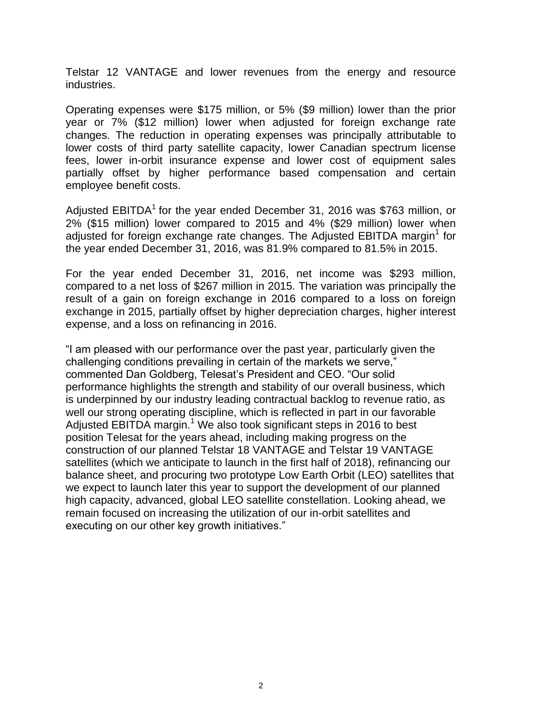Telstar 12 VANTAGE and lower revenues from the energy and resource industries.

Operating expenses were \$175 million, or 5% (\$9 million) lower than the prior year or 7% (\$12 million) lower when adjusted for foreign exchange rate changes. The reduction in operating expenses was principally attributable to lower costs of third party satellite capacity, lower Canadian spectrum license fees, lower in-orbit insurance expense and lower cost of equipment sales partially offset by higher performance based compensation and certain employee benefit costs.

Adjusted EBITDA<sup>1</sup> for the year ended December 31, 2016 was \$763 million, or 2% (\$15 million) lower compared to 2015 and 4% (\$29 million) lower when adjusted for foreign exchange rate changes. The Adjusted EBITDA margin<sup>1</sup> for the year ended December 31, 2016, was 81.9% compared to 81.5% in 2015.

For the year ended December 31, 2016, net income was \$293 million, compared to a net loss of \$267 million in 2015. The variation was principally the result of a gain on foreign exchange in 2016 compared to a loss on foreign exchange in 2015, partially offset by higher depreciation charges, higher interest expense, and a loss on refinancing in 2016.

"I am pleased with our performance over the past year, particularly given the challenging conditions prevailing in certain of the markets we serve," commented Dan Goldberg, Telesat's President and CEO. "Our solid performance highlights the strength and stability of our overall business, which is underpinned by our industry leading contractual backlog to revenue ratio, as well our strong operating discipline, which is reflected in part in our favorable Adjusted EBITDA margin.<sup>1</sup> We also took significant steps in 2016 to best position Telesat for the years ahead, including making progress on the construction of our planned Telstar 18 VANTAGE and Telstar 19 VANTAGE satellites (which we anticipate to launch in the first half of 2018), refinancing our balance sheet, and procuring two prototype Low Earth Orbit (LEO) satellites that we expect to launch later this year to support the development of our planned high capacity, advanced, global LEO satellite constellation. Looking ahead, we remain focused on increasing the utilization of our in-orbit satellites and executing on our other key growth initiatives."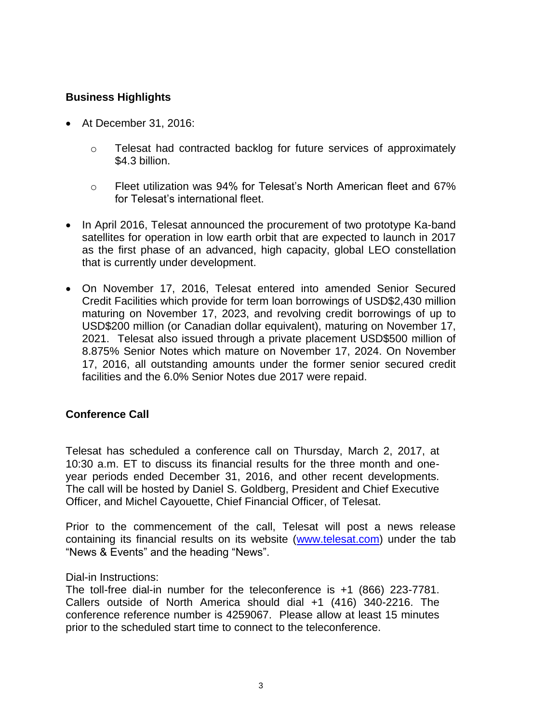### **Business Highlights**

- At December 31, 2016:
	- o Telesat had contracted backlog for future services of approximately \$4.3 billion.
	- o Fleet utilization was 94% for Telesat's North American fleet and 67% for Telesat's international fleet.
- In April 2016, Telesat announced the procurement of two prototype Ka-band satellites for operation in low earth orbit that are expected to launch in 2017 as the first phase of an advanced, high capacity, global LEO constellation that is currently under development.
- On November 17, 2016, Telesat entered into amended Senior Secured Credit Facilities which provide for term loan borrowings of USD\$2,430 million maturing on November 17, 2023, and revolving credit borrowings of up to USD\$200 million (or Canadian dollar equivalent), maturing on November 17, 2021. Telesat also issued through a private placement USD\$500 million of 8.875% Senior Notes which mature on November 17, 2024. On November 17, 2016, all outstanding amounts under the former senior secured credit facilities and the 6.0% Senior Notes due 2017 were repaid.

### **Conference Call**

Telesat has scheduled a conference call on Thursday, March 2, 2017, at 10:30 a.m. ET to discuss its financial results for the three month and oneyear periods ended December 31, 2016, and other recent developments. The call will be hosted by Daniel S. Goldberg, President and Chief Executive Officer, and Michel Cayouette, Chief Financial Officer, of Telesat.

Prior to the commencement of the call, Telesat will post a news release containing its financial results on its website [\(www.telesat.com\)](http://www.telesat.com/) under the tab "News & Events" and the heading "News".

Dial-in Instructions:

The toll-free dial-in number for the teleconference is +1 (866) 223-7781. Callers outside of North America should dial +1 (416) 340-2216. The conference reference number is 4259067. Please allow at least 15 minutes prior to the scheduled start time to connect to the teleconference.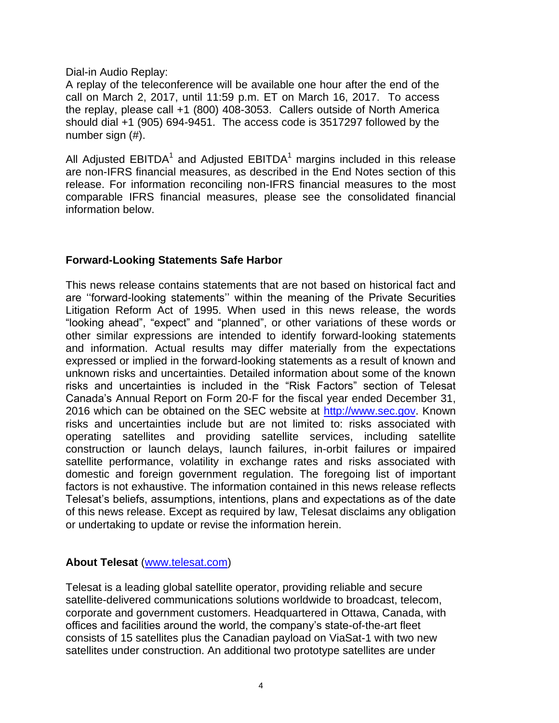Dial-in Audio Replay:

A replay of the teleconference will be available one hour after the end of the call on March 2, 2017, until 11:59 p.m. ET on March 16, 2017. To access the replay, please call +1 (800) 408-3053. Callers outside of North America should dial +1 (905) 694-9451. The access code is 3517297 followed by the number sign (#).

All Adjusted EBITDA<sup>1</sup> and Adjusted EBITDA<sup>1</sup> margins included in this release are non-IFRS financial measures, as described in the End Notes section of this release. For information reconciling non-IFRS financial measures to the most comparable IFRS financial measures, please see the consolidated financial information below.

### **Forward-Looking Statements Safe Harbor**

This news release contains statements that are not based on historical fact and are ''forward-looking statements'' within the meaning of the Private Securities Litigation Reform Act of 1995. When used in this news release, the words "looking ahead", "expect" and "planned", or other variations of these words or other similar expressions are intended to identify forward-looking statements and information. Actual results may differ materially from the expectations expressed or implied in the forward-looking statements as a result of known and unknown risks and uncertainties. Detailed information about some of the known risks and uncertainties is included in the "Risk Factors" section of Telesat Canada's Annual Report on Form 20-F for the fiscal year ended December 31, 2016 which can be obtained on the SEC website at [http://www.sec.gov.](http://www.sec.gov/) Known risks and uncertainties include but are not limited to: risks associated with operating satellites and providing satellite services, including satellite construction or launch delays, launch failures, in-orbit failures or impaired satellite performance, volatility in exchange rates and risks associated with domestic and foreign government regulation. The foregoing list of important factors is not exhaustive. The information contained in this news release reflects Telesat's beliefs, assumptions, intentions, plans and expectations as of the date of this news release. Except as required by law, Telesat disclaims any obligation or undertaking to update or revise the information herein.

### **About Telesat** [\(www.telesat.com\)](http://www.telesat.com/)

Telesat is a leading global satellite operator, providing reliable and secure satellite-delivered communications solutions worldwide to broadcast, telecom, corporate and government customers. Headquartered in Ottawa, Canada, with offices and facilities around the world, the company's state-of-the-art fleet consists of 15 satellites plus the Canadian payload on ViaSat-1 with two new satellites under construction. An additional two prototype satellites are under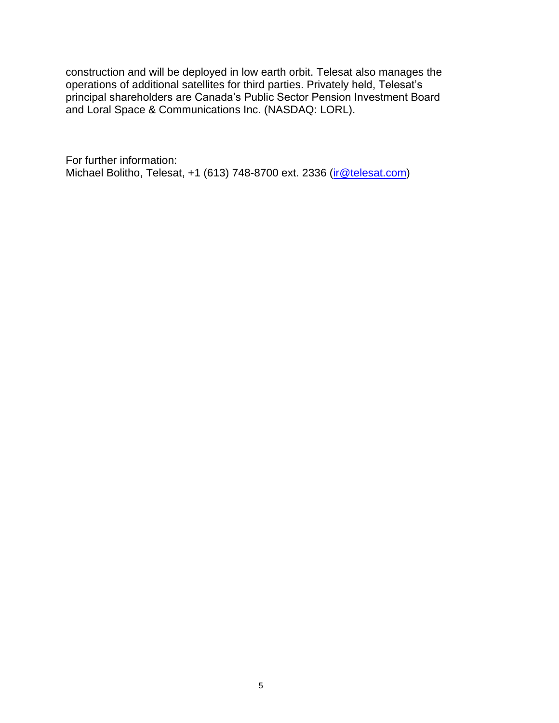construction and will be deployed in low earth orbit. Telesat also manages the operations of additional satellites for third parties. Privately held, Telesat's principal shareholders are Canada's Public Sector Pension Investment Board and Loral Space & Communications Inc. (NASDAQ: LORL).

For further information: Michael Bolitho, Telesat, +1 (613) 748-8700 ext. 2336 [\(ir@telesat.com\)](mailto:ir@telesat.com)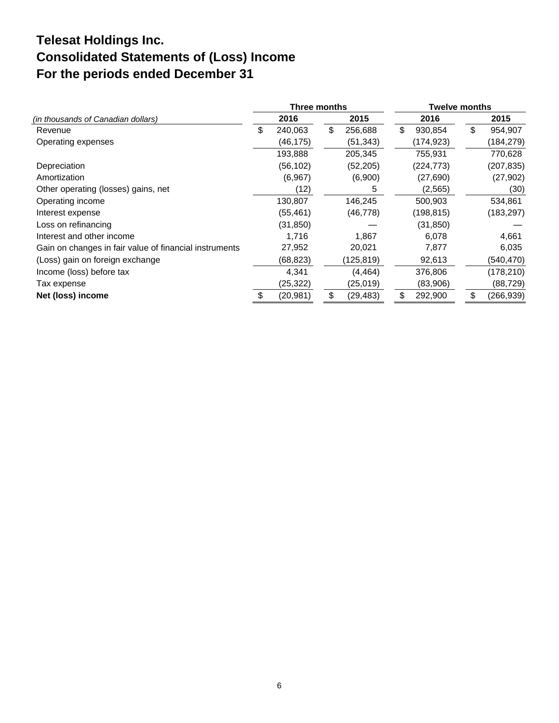## **Telesat Holdings Inc. Consolidated Statements of (Loss) Income For the periods ended December 31**

|                                                        | Three months |           |    |            | <b>Twelve months</b> |            |    |            |
|--------------------------------------------------------|--------------|-----------|----|------------|----------------------|------------|----|------------|
| (in thousands of Canadian dollars)                     |              | 2016      |    | 2015       |                      | 2016       |    | 2015       |
| Revenue                                                | \$           | 240,063   | \$ | 256,688    | \$                   | 930,854    | \$ | 954,907    |
| Operating expenses                                     |              | (46, 175) |    | (51, 343)  |                      | (174, 923) |    | (184, 279) |
|                                                        |              | 193,888   |    | 205,345    |                      | 755,931    |    | 770,628    |
| Depreciation                                           |              | (56, 102) |    | (52, 205)  |                      | (224, 773) |    | (207, 835) |
| Amortization                                           |              | (6,967)   |    | (6,900)    |                      | (27, 690)  |    | (27, 902)  |
| Other operating (losses) gains, net                    |              | (12)      |    | 5          |                      | (2, 565)   |    | (30)       |
| Operating income                                       |              | 130,807   |    | 146,245    |                      | 500,903    |    | 534,861    |
| Interest expense                                       |              | (55, 461) |    | (46, 778)  |                      | (198, 815) |    | (183, 297) |
| Loss on refinancing                                    |              | (31, 850) |    |            |                      | (31, 850)  |    |            |
| Interest and other income                              |              | 1,716     |    | 1,867      |                      | 6,078      |    | 4,661      |
| Gain on changes in fair value of financial instruments |              | 27,952    |    | 20,021     |                      | 7,877      |    | 6,035      |
| (Loss) gain on foreign exchange                        |              | (68, 823) |    | (125, 819) |                      | 92,613     |    | (540, 470) |
| Income (loss) before tax                               |              | 4,341     |    | (4, 464)   |                      | 376,806    |    | (178, 210) |
| Tax expense                                            |              | (25, 322) |    | (25, 019)  |                      | (83,906)   |    | (88, 729)  |
| Net (loss) income                                      | \$           | (20, 981) |    | (29, 483)  |                      | 292,900    | \$ | (266, 939) |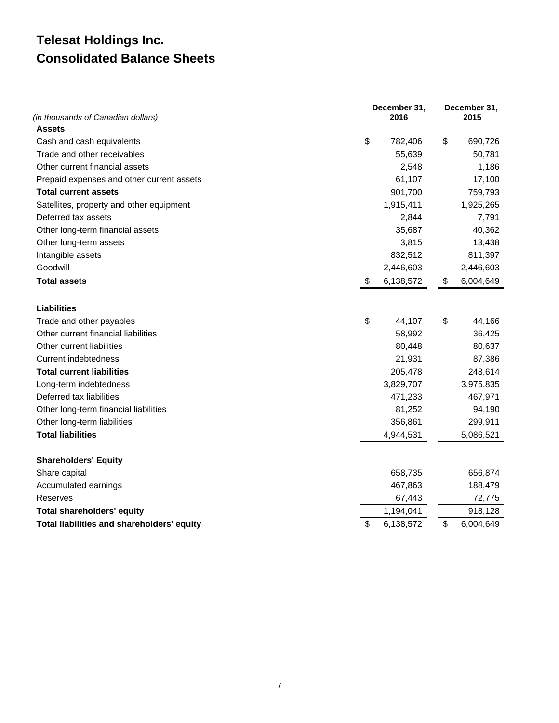# **Telesat Holdings Inc. Consolidated Balance Sheets**

| (in thousands of Canadian dollars)         | December 31,<br>2016 |           | December 31,<br>2015 |           |  |
|--------------------------------------------|----------------------|-----------|----------------------|-----------|--|
| Assets                                     |                      |           |                      |           |  |
| Cash and cash equivalents                  | \$                   | 782,406   | \$                   | 690,726   |  |
| Trade and other receivables                |                      | 55,639    |                      | 50,781    |  |
| Other current financial assets             |                      | 2,548     |                      | 1,186     |  |
| Prepaid expenses and other current assets  |                      | 61,107    |                      | 17,100    |  |
| <b>Total current assets</b>                |                      | 901,700   |                      | 759,793   |  |
| Satellites, property and other equipment   |                      | 1,915,411 |                      | 1,925,265 |  |
| Deferred tax assets                        |                      | 2,844     |                      | 7,791     |  |
| Other long-term financial assets           |                      | 35,687    |                      | 40,362    |  |
| Other long-term assets                     |                      | 3,815     |                      | 13,438    |  |
| Intangible assets                          |                      | 832,512   |                      | 811,397   |  |
| Goodwill                                   |                      | 2,446,603 |                      | 2,446,603 |  |
| <b>Total assets</b>                        | \$                   | 6,138,572 | \$                   | 6,004,649 |  |
| <b>Liabilities</b>                         |                      |           |                      |           |  |
| Trade and other payables                   | \$                   | 44,107    | \$                   | 44,166    |  |
| Other current financial liabilities        |                      | 58,992    |                      | 36,425    |  |
| Other current liabilities                  |                      | 80,448    |                      | 80,637    |  |
| <b>Current indebtedness</b>                |                      | 21,931    |                      | 87,386    |  |
| <b>Total current liabilities</b>           |                      | 205,478   |                      | 248,614   |  |
| Long-term indebtedness                     |                      | 3,829,707 |                      | 3,975,835 |  |
| Deferred tax liabilities                   |                      | 471,233   |                      | 467,971   |  |
| Other long-term financial liabilities      |                      | 81,252    |                      | 94,190    |  |
| Other long-term liabilities                |                      | 356,861   |                      | 299,911   |  |
| <b>Total liabilities</b>                   |                      | 4,944,531 |                      | 5,086,521 |  |
| <b>Shareholders' Equity</b>                |                      |           |                      |           |  |
| Share capital                              |                      | 658,735   |                      | 656,874   |  |
| Accumulated earnings                       |                      | 467,863   |                      | 188,479   |  |
| Reserves                                   |                      | 67,443    |                      | 72,775    |  |
| <b>Total shareholders' equity</b>          |                      | 1,194,041 |                      | 918,128   |  |
| Total liabilities and shareholders' equity | \$                   | 6,138,572 | \$                   | 6,004,649 |  |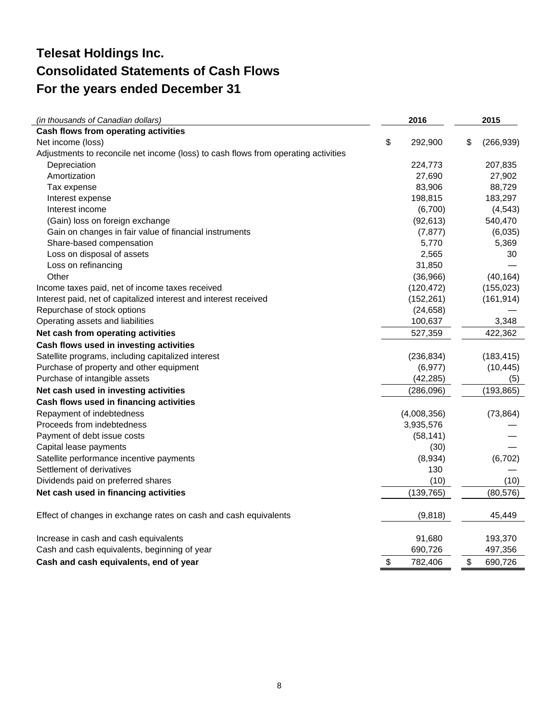# **Telesat Holdings Inc. Consolidated Statements of Cash Flows For the years ended December 31**

| Cash flows from operating activities<br>\$<br>292,900<br>\$<br>(266, 939)<br>Net income (loss)<br>Adjustments to reconcile net income (loss) to cash flows from operating activities<br>Depreciation<br>224,773<br>207,835<br>Amortization<br>27,690<br>27,902 |
|----------------------------------------------------------------------------------------------------------------------------------------------------------------------------------------------------------------------------------------------------------------|
|                                                                                                                                                                                                                                                                |
|                                                                                                                                                                                                                                                                |
|                                                                                                                                                                                                                                                                |
|                                                                                                                                                                                                                                                                |
|                                                                                                                                                                                                                                                                |
| 83,906<br>88,729<br>Tax expense                                                                                                                                                                                                                                |
| 198,815<br>183,297<br>Interest expense                                                                                                                                                                                                                         |
| Interest income<br>(6,700)<br>(4, 543)                                                                                                                                                                                                                         |
| 540,470<br>(Gain) loss on foreign exchange<br>(92, 613)                                                                                                                                                                                                        |
| Gain on changes in fair value of financial instruments<br>(7, 877)<br>(6,035)                                                                                                                                                                                  |
| Share-based compensation<br>5,770<br>5,369                                                                                                                                                                                                                     |
| 2,565<br>Loss on disposal of assets<br>30                                                                                                                                                                                                                      |
| Loss on refinancing<br>31,850                                                                                                                                                                                                                                  |
| Other<br>(36,966)<br>(40, 164)                                                                                                                                                                                                                                 |
| (120, 472)<br>(155, 023)<br>Income taxes paid, net of income taxes received                                                                                                                                                                                    |
| Interest paid, net of capitalized interest and interest received<br>(152, 261)<br>(161, 914)                                                                                                                                                                   |
| Repurchase of stock options<br>(24, 658)                                                                                                                                                                                                                       |
| Operating assets and liabilities<br>100,637<br>3,348                                                                                                                                                                                                           |
| 527,359<br>422,362<br>Net cash from operating activities                                                                                                                                                                                                       |
| Cash flows used in investing activities                                                                                                                                                                                                                        |
| Satellite programs, including capitalized interest<br>(236, 834)<br>(183, 415)                                                                                                                                                                                 |
| (6,977)<br>(10, 445)<br>Purchase of property and other equipment                                                                                                                                                                                               |
| (42, 285)<br>Purchase of intangible assets<br>(5)                                                                                                                                                                                                              |
| Net cash used in investing activities<br>(193, 865)<br>(286,096)                                                                                                                                                                                               |
| Cash flows used in financing activities                                                                                                                                                                                                                        |
| Repayment of indebtedness<br>(4,008,356)<br>(73, 864)                                                                                                                                                                                                          |
| Proceeds from indebtedness<br>3,935,576                                                                                                                                                                                                                        |
| Payment of debt issue costs<br>(58, 141)                                                                                                                                                                                                                       |
| Capital lease payments<br>(30)                                                                                                                                                                                                                                 |
| Satellite performance incentive payments<br>(6, 702)<br>(8,934)                                                                                                                                                                                                |
| Settlement of derivatives<br>130                                                                                                                                                                                                                               |
| (10)<br>Dividends paid on preferred shares<br>(10)                                                                                                                                                                                                             |
| Net cash used in financing activities<br>(139, 765)<br>(80, 576)                                                                                                                                                                                               |
|                                                                                                                                                                                                                                                                |
| (9,818)<br>Effect of changes in exchange rates on cash and cash equivalents<br>45,449                                                                                                                                                                          |
| Increase in cash and cash equivalents<br>91,680<br>193,370                                                                                                                                                                                                     |
| Cash and cash equivalents, beginning of year<br>690,726<br>497,356                                                                                                                                                                                             |
| \$<br>\$<br>Cash and cash equivalents, end of year<br>782,406<br>690,726                                                                                                                                                                                       |